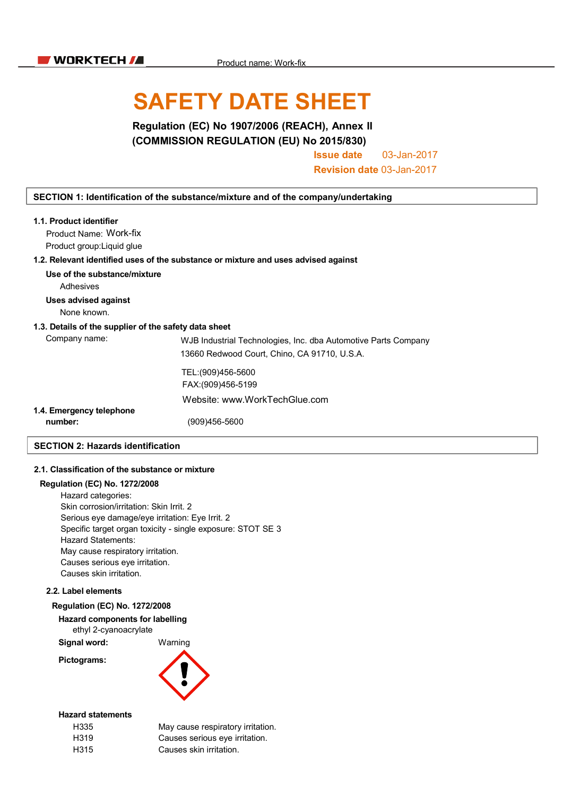# SAFETY DATE SHEET

Regulation (EC) No 1907/2006 (REACH), Annex II (COMMISSION REGULATION (EU) No 2015/830)

Issue date 03-Jan-2017

Revision date 03-Jan-2017

#### SECTION 1: Identification of the substance/mixture and of the company/undertaking

| 1.1. Product identifier                               |                                                                                    |
|-------------------------------------------------------|------------------------------------------------------------------------------------|
| Product Name: Work-fix                                |                                                                                    |
| Product group: Liquid glue                            |                                                                                    |
|                                                       | 1.2. Relevant identified uses of the substance or mixture and uses advised against |
| Use of the substance/mixture                          |                                                                                    |
| Adhesives                                             |                                                                                    |
| Uses advised against                                  |                                                                                    |
| None known.                                           |                                                                                    |
| 1.3. Details of the supplier of the safety data sheet |                                                                                    |
| Company name:                                         | WJB Industrial Technologies, Inc. dba Automotive Parts Company                     |
|                                                       | 13660 Redwood Court, Chino, CA 91710, U.S.A.                                       |
|                                                       | TEL:(909)456-5600                                                                  |
|                                                       | FAX:(909)456-5199                                                                  |
|                                                       | Website: www.WorkTechGlue.com                                                      |
| 1.4. Emergency telephone                              |                                                                                    |
| number:                                               | (909)456-5600                                                                      |
| <b>SECTION 2: Hazards identification</b>              |                                                                                    |

## 2.1. Classification of the substance or mixture

### Regulation (EC) No. 1272/2008

Hazard categories: Skin corrosion/irritation: Skin Irrit. 2 Serious eye damage/eye irritation: Eye Irrit. 2 Specific target organ toxicity - single exposure: STOT SE 3 Hazard Statements: May cause respiratory irritation. Causes serious eye irritation. Causes skin irritation.

#### 2.2. Label elements

#### Regulation (EC) No. 1272/2008

Hazard components for labelling ethyl 2-cyanoacrylate

Signal word: Warning

Pictograms:



irritation.

#### Hazard statements

| H335 | May cause respiratory irritation |
|------|----------------------------------|
| H319 | Causes serious eye irritation.   |
| H315 | Causes skin irritation.          |
|      |                                  |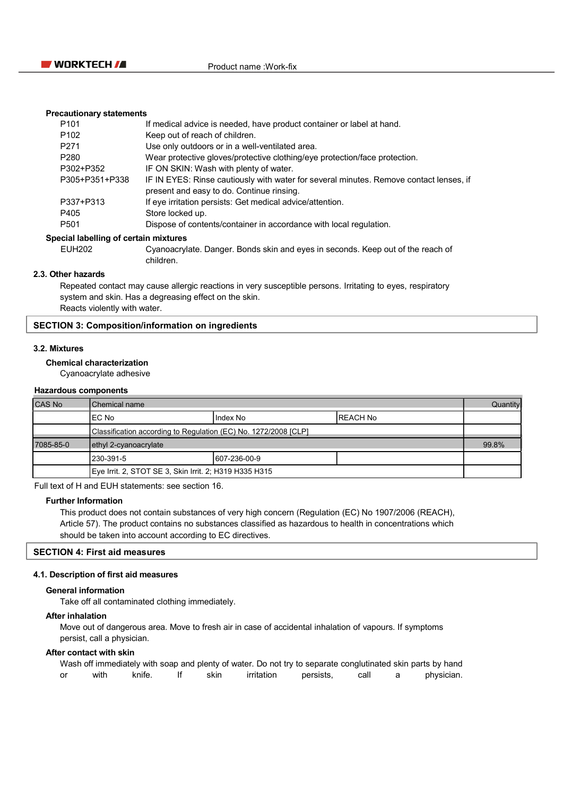

#### Precautionary statements

| P <sub>101</sub> | If medical advice is needed, have product container or label at hand.                                                               |
|------------------|-------------------------------------------------------------------------------------------------------------------------------------|
| P <sub>102</sub> | Keep out of reach of children.                                                                                                      |
| P <sub>271</sub> | Use only outdoors or in a well-ventilated area.                                                                                     |
| P <sub>280</sub> | Wear protective gloves/protective clothing/eye protection/face protection.                                                          |
| P302+P352        | IF ON SKIN: Wash with plenty of water.                                                                                              |
| P305+P351+P338   | IF IN EYES: Rinse cautiously with water for several minutes. Remove contact lenses, if<br>present and easy to do. Continue rinsing. |
|                  |                                                                                                                                     |
| P337+P313        | If eye irritation persists: Get medical advice/attention.                                                                           |
| P405             | Store locked up.                                                                                                                    |
| P <sub>501</sub> | Dispose of contents/container in accordance with local regulation.                                                                  |

#### Special labelling of certain mixtures

EUH202 Cyanoacrylate. Danger. Bonds skin and eyes in seconds. Keep out of the reach of children.

#### 2.3. Other hazards

Repeated contact may cause allergic reactions in very susceptible persons. Irritating to eyes, respiratory system and skin. Has a degreasing effect on the skin. Reacts violently with water.

#### SECTION 3: Composition/information on ingredients

#### 3.2. Mixtures

#### Chemical characterization

Cyanoacrylate adhesive

#### Hazardous components

| ICAS No   | Chemical name                                                   |               | Quantity  |  |
|-----------|-----------------------------------------------------------------|---------------|-----------|--|
|           | IEC No                                                          | Index No      | IREACH No |  |
|           | Classification according to Regulation (EC) No. 1272/2008 [CLP] |               |           |  |
| 7085-85-0 | ethyl 2-cyanoacrylate                                           |               | 99.8%     |  |
|           | 230-391-5                                                       | 1607-236-00-9 |           |  |
|           | Eye Irrit. 2, STOT SE 3, Skin Irrit. 2; H319 H335 H315          |               |           |  |

Full text of H and EUH statements: see section 16.

#### Further Information

This product does not contain substances of very high concern (Regulation (EC) No 1907/2006 (REACH), Article 57). The product contains no substances classified as hazardous to health in concentrations which should be taken into account according to EC directives.

#### SECTION 4: First aid measures

#### 4.1. Description of first aid measures

#### General information

Take off all contaminated clothing immediately.

#### After inhalation

Move out of dangerous area. Move to fresh air in case of accidental inhalation of vapours. If symptoms persist, call a physician.

#### After contact with skin

Wash off immediately with soap and plenty of water. Do not try to separate conglutinated skin parts by hand or with knife. If skin irritation persists, call a physician.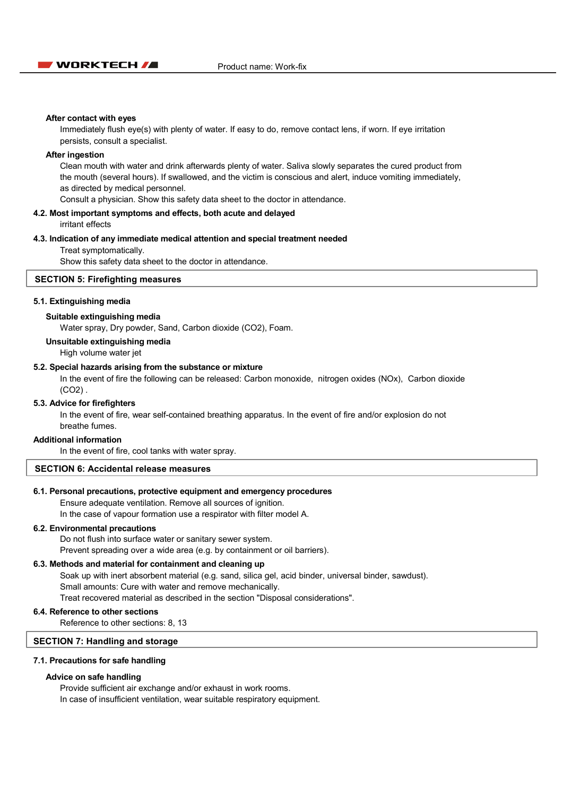

#### After contact with eyes

Immediately flush eye(s) with plenty of water. If easy to do, remove contact lens, if worn. If eye irritation persists, consult a specialist.

#### After ingestion

Clean mouth with water and drink afterwards plenty of water. Saliva slowly separates the cured product from the mouth (several hours). If swallowed, and the victim is conscious and alert, induce vomiting immediately, as directed by medical personnel.

Consult a physician. Show this safety data sheet to the doctor in attendance.

#### 4.2. Most important symptoms and effects, both acute and delayed irritant effects

#### 4.3. Indication of any immediate medical attention and special treatment needed

Treat symptomatically.

Show this safety data sheet to the doctor in attendance.

#### SECTION 5: Firefighting measures

#### 5.1. Extinguishing media

#### Suitable extinguishing media

Water spray, Dry powder, Sand, Carbon dioxide (CO2), Foam.

#### Unsuitable extinguishing media

High volume water jet

#### 5.2. Special hazards arising from the substance or mixture

In the event of fire the following can be released: Carbon monoxide, nitrogen oxides (NOx), Carbon dioxide (CO2) .

#### 5.3. Advice for firefighters

In the event of fire, wear self-contained breathing apparatus. In the event of fire and/or explosion do not breathe fumes.

#### Additional information

In the event of fire, cool tanks with water spray.

#### SECTION 6: Accidental release measures

#### 6.1. Personal precautions, protective equipment and emergency procedures

Ensure adequate ventilation. Remove all sources of ignition. In the case of vapour formation use a respirator with filter model A.

#### 6.2. Environmental precautions

Do not flush into surface water or sanitary sewer system. Prevent spreading over a wide area (e.g. by containment or oil barriers).

#### 6.3. Methods and material for containment and cleaning up

Soak up with inert absorbent material (e.g. sand, silica gel, acid binder, universal binder, sawdust). Small amounts: Cure with water and remove mechanically. Treat recovered material as described in the section "Disposal considerations".

#### 6.4. Reference to other sections

Reference to other sections: 8, 13

#### SECTION 7: Handling and storage

#### 7.1. Precautions for safe handling

#### Advice on safe handling

Provide sufficient air exchange and/or exhaust in work rooms. In case of insufficient ventilation, wear suitable respiratory equipment.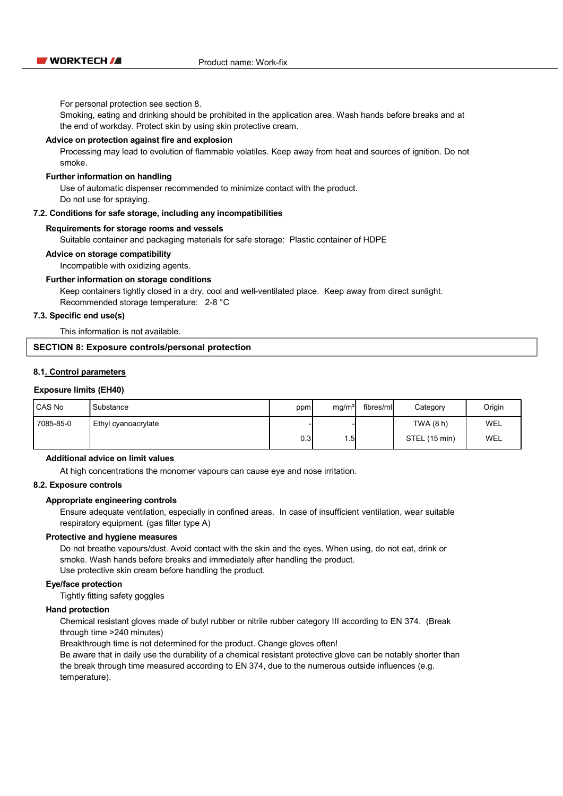For personal protection see section 8.

Smoking, eating and drinking should be prohibited in the application area. Wash hands before breaks and at the end of workday. Protect skin by using skin protective cream.

#### Advice on protection against fire and explosion

Processing may lead to evolution of flammable volatiles. Keep away from heat and sources of ignition. Do not smoke.

#### Further information on handling

Use of automatic dispenser recommended to minimize contact with the product. Do not use for spraying.

#### 7.2. Conditions for safe storage, including any incompatibilities

#### Requirements for storage rooms and vessels

Suitable container and packaging materials for safe storage: Plastic container of HDPE

#### Advice on storage compatibility

Incompatible with oxidizing agents.

#### Further information on storage conditions

Keep containers tightly closed in a dry, cool and well-ventilated place. Keep away from direct sunlight. Recommended storage temperature: 2-8 °C

#### 7.3. Specific end use(s)

This information is not available.

#### SECTION 8: Exposure controls/personal protection

#### 8.1. Control parameters

#### Exposure limits (EH40)

| CAS No    | Substance           | ppm  | mg/m <sup>3</sup> | fibres/ml | Category      | Origin |
|-----------|---------------------|------|-------------------|-----------|---------------|--------|
| 7085-85-0 | Ethyl cyanoacrylate |      |                   |           | TWA (8 h)     | WEL    |
|           |                     | 0.31 | 1.5               |           | STEL (15 min) | WEL    |

#### Additional advice on limit values

At high concentrations the monomer vapours can cause eye and nose irritation.

#### 8.2. Exposure controls

#### Appropriate engineering controls

Ensure adequate ventilation, especially in confined areas. In case of insufficient ventilation, wear suitable respiratory equipment. (gas filter type A)

#### Protective and hygiene measures

Do not breathe vapours/dust. Avoid contact with the skin and the eyes. When using, do not eat, drink or smoke. Wash hands before breaks and immediately after handling the product. Use protective skin cream before handling the product.

#### Eye/face protection

Tightly fitting safety goggles

#### Hand protection

Chemical resistant gloves made of butyl rubber or nitrile rubber category III according to EN 374. (Break through time >240 minutes)

Breakthrough time is not determined for the product. Change gloves often!

Be aware that in daily use the durability of a chemical resistant protective glove can be notably shorter than the break through time measured according to EN 374, due to the numerous outside influences (e.g. temperature).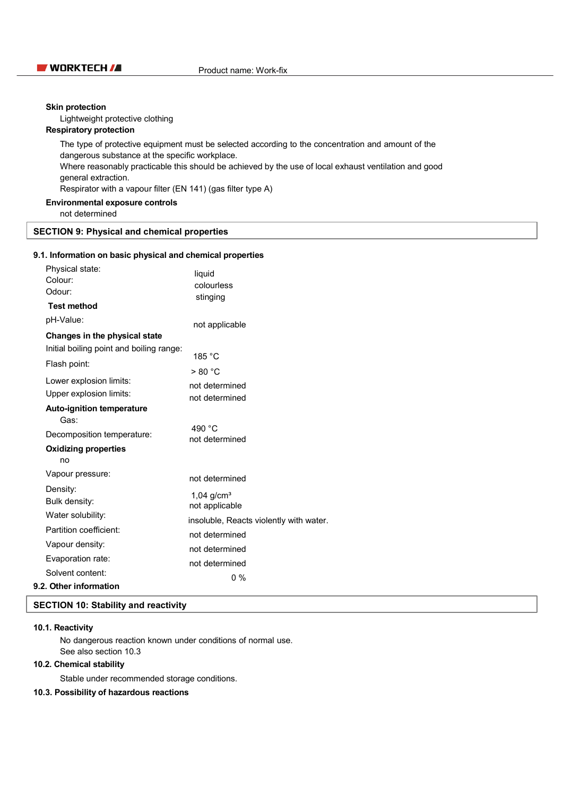### **NURKTECH / Product name: Work-fix**

#### Skin protection

Lightweight protective clothing

#### Respiratory protection

The type of protective equipment must be selected according to the concentration and amount of the dangerous substance at the specific workplace. Where reasonably practicable this should be achieved by the use of local exhaust ventilation and good general extraction. Respirator with a vapour filter (EN 141) (gas filter type A)

### Environmental exposure controls

not determined

#### SECTION 9: Physical and chemical properties

#### 9.1. Information on basic physical and chemical properties

| Physical state:                                                                                             | liquid                                  |
|-------------------------------------------------------------------------------------------------------------|-----------------------------------------|
| Colour:                                                                                                     | colourless                              |
| Odour:                                                                                                      | stinging                                |
| <b>Test method</b><br>pH-Value:                                                                             | not applicable                          |
| Changes in the physical state<br>Initial boiling point and boiling range:<br>Flash point:                   | 185 °C<br>> 80 °C                       |
| Lower explosion limits:                                                                                     | not determined                          |
| Upper explosion limits:                                                                                     | not determined                          |
| <b>Auto-ignition temperature</b><br>Gas:<br>Decomposition temperature:<br><b>Oxidizing properties</b><br>no | 490 °C<br>not determined                |
| Vapour pressure:                                                                                            | not determined                          |
| Density:                                                                                                    | $1.04$ g/cm <sup>3</sup>                |
| Bulk density:                                                                                               | not applicable                          |
| Water solubility:                                                                                           | insoluble, Reacts violently with water. |
| Partition coefficient:                                                                                      | not determined                          |
| Vapour density:                                                                                             | not determined                          |
| Evaporation rate:                                                                                           | not determined                          |
| Solvent content:<br>9.2. Other information                                                                  | $0\%$                                   |

#### SECTION 10: Stability and reactivity

#### 10.1. Reactivity

No dangerous reaction known under conditions of normal use. See also section 10.3

#### 10.2. Chemical stability

Stable under recommended storage conditions.

#### 10.3. Possibility of hazardous reactions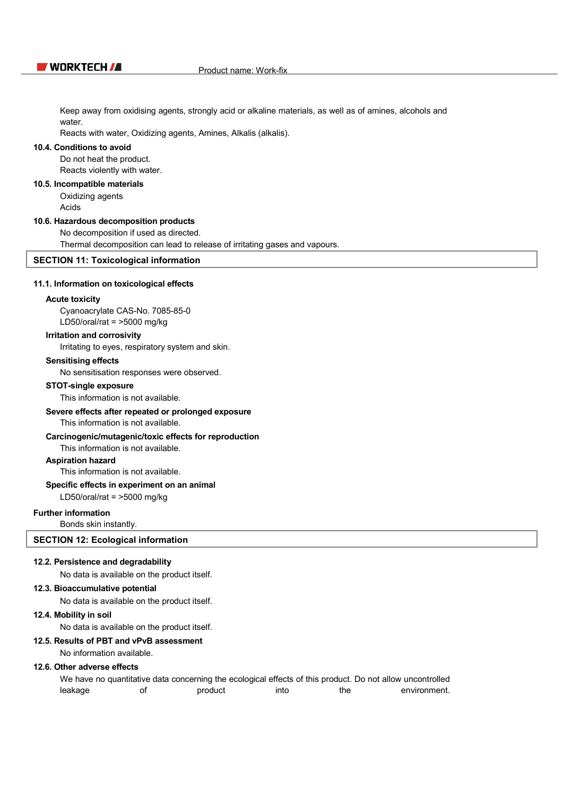Keep away from oxidising agents, strongly acid or alkaline materials, as well as of amines, alcohols and water

Reacts with water, Oxidizing agents, Amines, Alkalis (alkalis).

#### 10.4. Conditions to avoid

Do not heat the product. Reacts violently with water.

#### 10.5. Incompatible materials

Oxidizing agents

Acids

#### 10.6. Hazardous decomposition products

No decomposition if used as directed.

Thermal decomposition can lead to release of irritating gases and vapours.

#### SECTION 11: Toxicological information

#### 11.1. Information on toxicological effects

#### Acute toxicity

Cyanoacrylate CAS-No. 7085-85-0 LD50/oral/rat = >5000 mg/kg

#### Irritation and corrosivity

Irritating to eyes, respiratory system and skin.

#### Sensitising effects

No sensitisation responses were observed.

#### STOT-single exposure

This information is not available.

#### Severe effects after repeated or prolonged exposure

This information is not available.

#### Carcinogenic/mutagenic/toxic effects for reproduction

This information is not available.

#### Aspiration hazard

This information is not available.

#### Specific effects in experiment on an animal

LD50/oral/rat = >5000 mg/kg

#### Further information

Bonds skin instantly.

#### SECTION 12: Ecological information

#### 12.2. Persistence and degradability

No data is available on the product itself.

#### 12.3. Bioaccumulative potential

No data is available on the product itself.

#### 12.4. Mobility in soil

No data is available on the product itself.

#### 12.5. Results of PBT and vPvB assessment

No information available.

#### 12.6. Other adverse effects

We have no quantitative data concerning the ecological effects of this product. Do not allow uncontrolled leakage of product into the environment.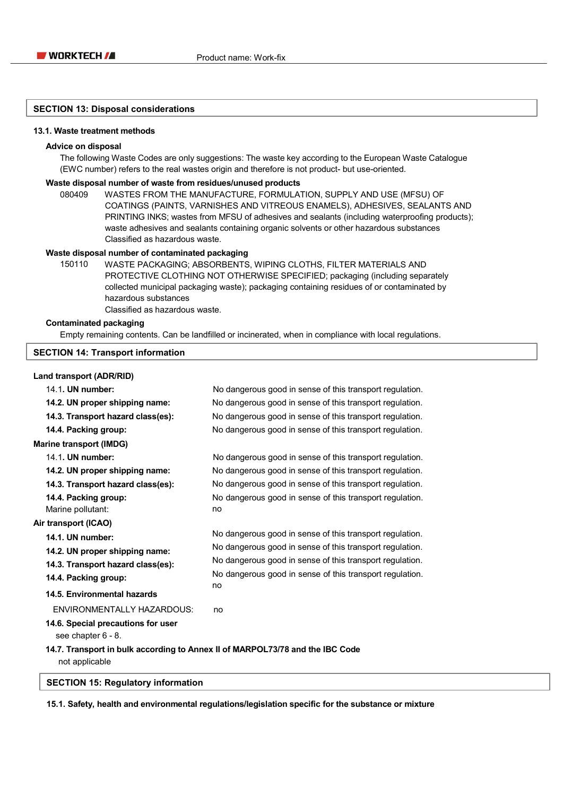#### SECTION 13: Disposal considerations

#### 13.1. Waste treatment methods

#### Advice on disposal

The following Waste Codes are only suggestions: The waste key according to the European Waste Catalogue (EWC number) refers to the real wastes origin and therefore is not product- but use-oriented.

#### Waste disposal number of waste from residues/unused products

080409 WASTES FROM THE MANUFACTURE, FORMULATION, SUPPLY AND USE (MFSU) OF COATINGS (PAINTS, VARNISHES AND VITREOUS ENAMELS), ADHESIVES, SEALANTS AND PRINTING INKS; wastes from MFSU of adhesives and sealants (including waterproofing products); waste adhesives and sealants containing organic solvents or other hazardous substances Classified as hazardous waste.

#### Waste disposal number of contaminated packaging

150110 WASTE PACKAGING; ABSORBENTS, WIPING CLOTHS, FILTER MATERIALS AND PROTECTIVE CLOTHING NOT OTHERWISE SPECIFIED; packaging (including separately collected municipal packaging waste); packaging containing residues of or contaminated by hazardous substances Classified as hazardous waste.

Contaminated packaging

Empty remaining contents. Can be landfilled or incinerated, when in compliance with local regulations.

#### SECTION 14: Transport information

### Land transport (ADR/RID)

| 14.1. UN number:                                                                                | No dangerous good in sense of this transport regulation.       |
|-------------------------------------------------------------------------------------------------|----------------------------------------------------------------|
| 14.2. UN proper shipping name:                                                                  | No dangerous good in sense of this transport regulation.       |
| 14.3. Transport hazard class(es):                                                               | No dangerous good in sense of this transport regulation.       |
| 14.4. Packing group:                                                                            | No dangerous good in sense of this transport regulation.       |
| <b>Marine transport (IMDG)</b>                                                                  |                                                                |
| 14.1. UN number:                                                                                | No dangerous good in sense of this transport regulation.       |
| 14.2. UN proper shipping name:                                                                  | No dangerous good in sense of this transport regulation.       |
| 14.3. Transport hazard class(es):                                                               | No dangerous good in sense of this transport regulation.       |
| 14.4. Packing group:                                                                            | No dangerous good in sense of this transport regulation.       |
| Marine pollutant:                                                                               | no                                                             |
| Air transport (ICAO)                                                                            |                                                                |
| 14.1. UN number:                                                                                | No dangerous good in sense of this transport regulation.       |
| 14.2. UN proper shipping name:                                                                  | No dangerous good in sense of this transport regulation.       |
| 14.3. Transport hazard class(es):                                                               | No dangerous good in sense of this transport regulation.       |
| 14.4. Packing group:                                                                            | No dangerous good in sense of this transport regulation.<br>no |
| 14.5. Environmental hazards                                                                     |                                                                |
| ENVIRONMENTALLY HAZARDOUS:                                                                      | no                                                             |
| 14.6. Special precautions for user<br>see chapter 6 - 8.                                        |                                                                |
| 14.7. Transport in bulk according to Annex II of MARPOL73/78 and the IBC Code<br>not applicable |                                                                |

#### SECTION 15: Regulatory information

15.1. Safety, health and environmental regulations/legislation specific for the substance or mixture